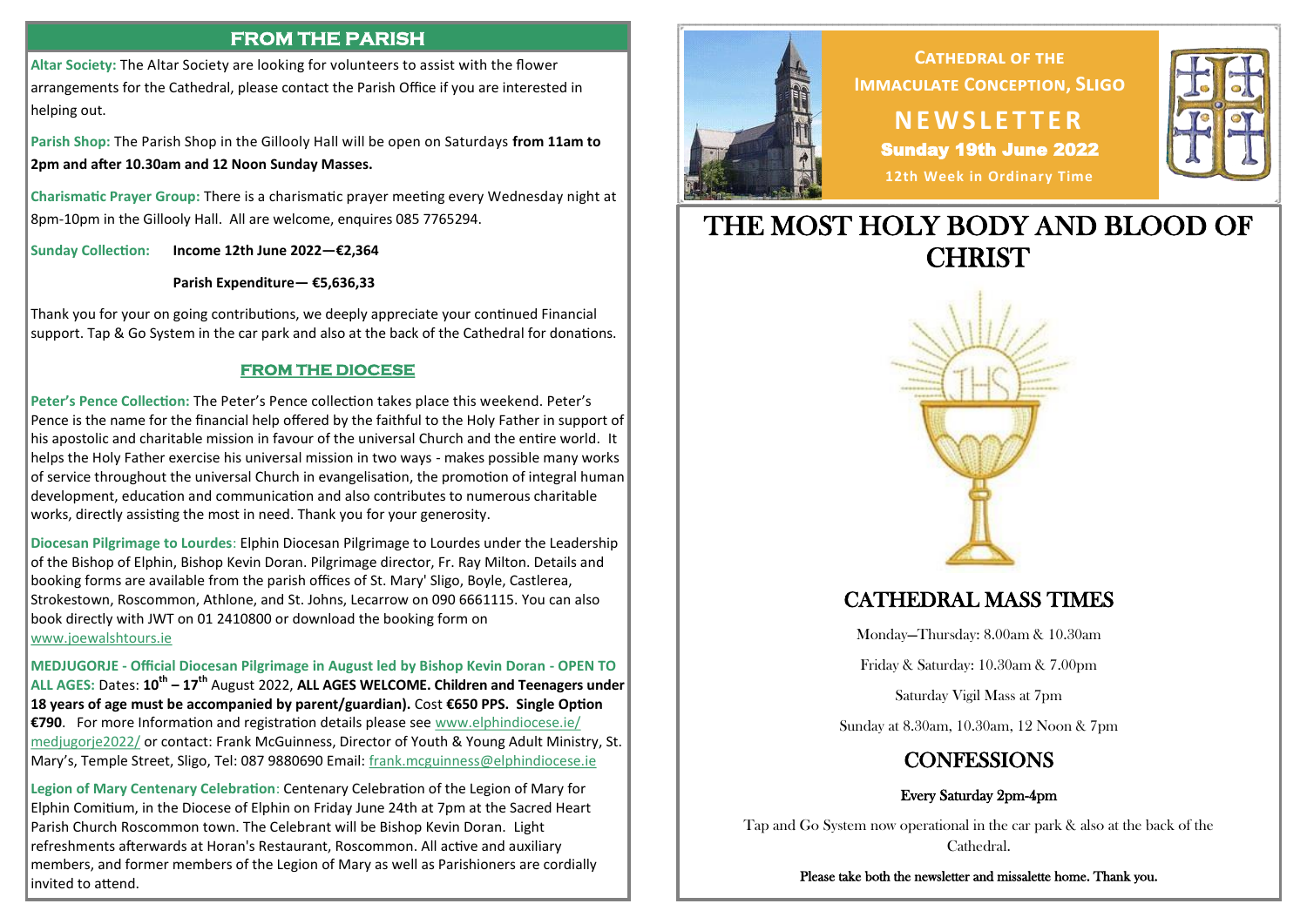#### **FROM THE PARISH**

**Altar Society:** The Altar Society are looking for volunteers to assist with the flower arrangements for the Cathedral, please contact the Parish Office if you are interested in helping out.

**Parish Shop:** The Parish Shop in the Gillooly Hall will be open on Saturdays **from 11am to 2pm and after 10.30am and 12 Noon Sunday Masses.**

**Charismatic Prayer Group:** There is a charismatic prayer meeting every Wednesday night at 8pm-10pm in the Gillooly Hall. All are welcome, enquires 085 7765294.

**Sunday Collection: Income 12th June 2022—€2,364**

 **Parish Expenditure— €5,636,33**

Thank you for your on going contributions, we deeply appreciate your continued Financial support. Tap & Go System in the car park and also at the back of the Cathedral for donations.

#### **FROM THE DIOCESE**

**Peter's Pence Collection:** The Peter's Pence collection takes place this weekend. Peter's Pence is the name for the financial help offered by the faithful to the Holy Father in support of his apostolic and charitable mission in favour of the universal Church and the entire world. It helps the Holy Father exercise his universal mission in two ways - makes possible many works of service throughout the universal Church in evangelisation, the promotion of integral human development, education and communication and also contributes to numerous charitable works, directly assisting the most in need. Thank you for your generosity.

**Diocesan Pilgrimage to Lourdes**: Elphin Diocesan Pilgrimage to Lourdes under the Leadership of the Bishop of Elphin, Bishop Kevin Doran. Pilgrimage director, Fr. Ray Milton. Details and booking forms are available from the parish offices of St. Mary' Sligo, Boyle, Castlerea, Strokestown, Roscommon, Athlone, and St. Johns, Lecarrow on 090 6661115. You can also book directly with JWT on 01 2410800 or download the booking form on [www.joewalshtours.ie](http://www.joewalshtours.ie)

**MEDJUGORJE - Official Diocesan Pilgrimage in August led by Bishop Kevin Doran - OPEN TO ALL AGES:** Dates: **10th – 17th** August 2022, **ALL AGES WELCOME. Children and Teenagers under 18 years of age must be accompanied by parent/guardian).** Cost **€650 PPS. Single Option €790**. For more Information and registration details please see [www.elphindiocese.ie/](https://www.elphindiocese.ie/medjugorje2022/) [medjugorje2022/](https://www.elphindiocese.ie/medjugorje2022/) or contact: Frank McGuinness, Director of Youth & Young Adult Ministry, St. Mary's, Temple Street, Sligo, Tel: 087 9880690 Email: [frank.mcguinness@elphindiocese.ie](mailto:frank.mcguinness@elphindiocese.ie)

**Legion of Mary Centenary Celebration**: Centenary Celebration of the Legion of Mary for Elphin Comitium, in the Diocese of Elphin on Friday June 24th at 7pm at the Sacred Heart Parish Church Roscommon town. The Celebrant will be Bishop Kevin Doran. Light refreshments afterwards at Horan's Restaurant, Roscommon. All active and auxiliary members, and former members of the Legion of Mary as well as Parishioners are cordially invited to attend.



**Cathedral of the Immaculate Conception, Sligo N E W S L E T T E R** Sunday 19th June 2022 **12th Week in Ordinary Time**

# THE MOST HOLY BODY AND BLOOD OF **CHRIST**



# CATHEDRAL MASS TIMES

Monday—Thursday: 8.00am & 10.30am

Friday & Saturday: 10.30am & 7.00pm

Saturday Vigil Mass at 7pm

Sunday at 8.30am, 10.30am, 12 Noon & 7pm

# **CONFESSIONS**

#### Every Saturday 2pm-4pm

Tap and Go System now operational in the car park & also at the back of the Cathedral.

Please take both the newsletter and missalette home. Thank you.